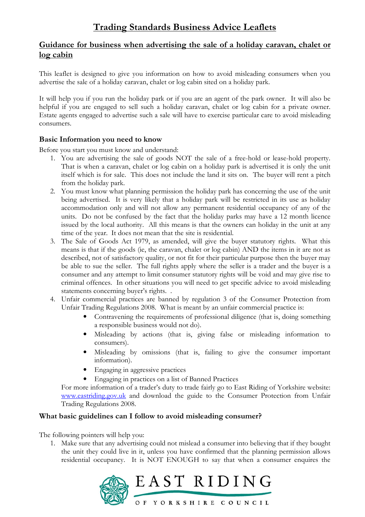# Trading Standards Business Advice Leaflets

## Guidance for business when advertising the sale of a holiday caravan, chalet or log cabin

This leaflet is designed to give you information on how to avoid misleading consumers when you advertise the sale of a holiday caravan, chalet or log cabin sited on a holiday park.

It will help you if you run the holiday park or if you are an agent of the park owner. It will also be helpful if you are engaged to sell such a holiday caravan, chalet or log cabin for a private owner. Estate agents engaged to advertise such a sale will have to exercise particular care to avoid misleading consumers.

## Basic Information you need to know

Before you start you must know and understand:

- 1. You are advertising the sale of goods NOT the sale of a free-hold or lease-hold property. That is when a caravan, chalet or log cabin on a holiday park is advertised it is only the unit itself which is for sale. This does not include the land it sits on. The buyer will rent a pitch from the holiday park.
- 2. You must know what planning permission the holiday park has concerning the use of the unit being advertised. It is very likely that a holiday park will be restricted in its use as holiday accommodation only and will not allow any permanent residential occupancy of any of the units. Do not be confused by the fact that the holiday parks may have a 12 month licence issued by the local authority. All this means is that the owners can holiday in the unit at any time of the year. It does not mean that the site is residential.
- 3. The Sale of Goods Act 1979, as amended, will give the buyer statutory rights. What this means is that if the goods (ie, the caravan, chalet or log cabin) AND the items in it are not as described, not of satisfactory quality, or not fit for their particular purpose then the buyer may be able to sue the seller. The full rights apply where the seller is a trader and the buyer is a consumer and any attempt to limit consumer statutory rights will be void and may give rise to criminal offences. In other situations you will need to get specific advice to avoid misleading statements concerning buyer's rights. .
- 4. Unfair commercial practices are banned by regulation 3 of the Consumer Protection from Unfair Trading Regulations 2008. What is meant by an unfair commercial practice is:
	- Contravening the requirements of professional diligence (that is, doing something a responsible business would not do).
	- Misleading by actions (that is, giving false or misleading information to consumers).
	- Misleading by omissions (that is, failing to give the consumer important information).
	- Engaging in aggressive practices
	- Engaging in practices on a list of Banned Practices

For more information of a trader's duty to trade fairly go to East Riding of Yorkshire website: www.eastriding.gov.uk and download the guide to the Consumer Protection from Unfair Trading Regulations 2008.

## What basic guidelines can I follow to avoid misleading consumer?

The following pointers will help you:

1. Make sure that any advertising could not mislead a consumer into believing that if they bought the unit they could live in it, unless you have confirmed that the planning permission allows residential occupancy. It is NOT ENOUGH to say that when a consumer enquires the